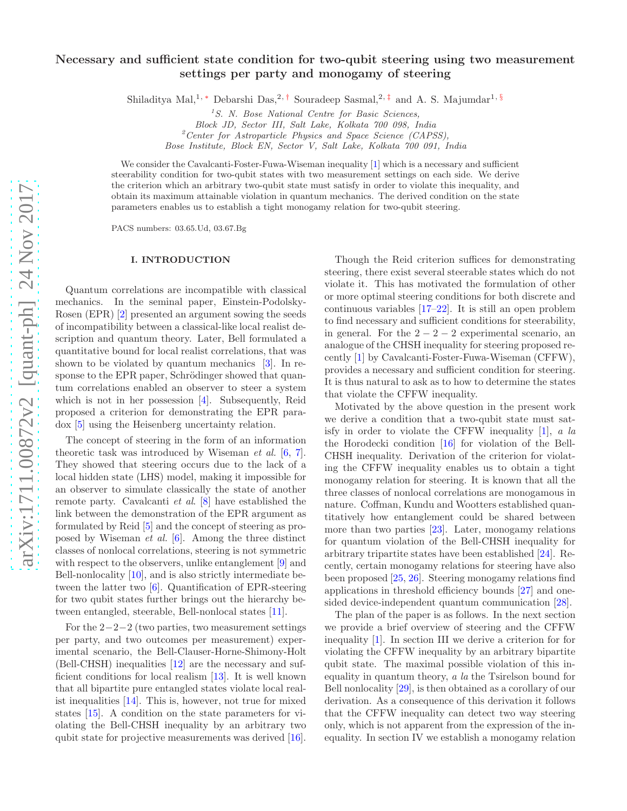# Necessary and sufficient state condition for two-qubit steering using two measurement settings per party and monogamy of steering

Shiladitya Mal,<sup>1, [∗](#page-3-0)</sup> Debarshi Das,<sup>2,[†](#page-3-1)</sup> Souradeep Sasmal,<sup>2,[‡](#page-3-2)</sup> and A. S. Majumdar<sup>1, [§](#page-3-3)</sup>

 $1<sup>1</sup>S$ . N. Bose National Centre for Basic Sciences,

Block JD, Sector III, Salt Lake, Kolkata 700 098, India

 ${}^{2}$ Center for Astroparticle Physics and Space Science (CAPSS),

Bose Institute, Block EN, Sector V, Salt Lake, Kolkata 700 091, India

We consider the Cavalcanti-Foster-Fuwa-Wiseman inequality [\[1](#page-3-4)] which is a necessary and sufficient steerability condition for two-qubit states with two measurement settings on each side. We derive the criterion which an arbitrary two-qubit state must satisfy in order to violate this inequality, and obtain its maximum attainable violation in quantum mechanics. The derived condition on the state parameters enables us to establish a tight monogamy relation for two-qubit steering.

PACS numbers: 03.65.Ud, 03.67.Bg

#### I. INTRODUCTION

Quantum correlations are incompatible with classical mechanics. In the seminal paper, Einstein-Podolsky-Rosen (EPR) [\[2\]](#page-3-5) presented an argument sowing the seeds of incompatibility between a classical-like local realist description and quantum theory. Later, Bell formulated a quantitative bound for local realist correlations, that was shown to be violated by quantum mechanics [\[3](#page-3-6)]. In response to the EPR paper, Schrödinger showed that quantum correlations enabled an observer to steer a system which is not in her possession [\[4](#page-3-7)]. Subsequently, Reid proposed a criterion for demonstrating the EPR paradox [\[5\]](#page-3-8) using the Heisenberg uncertainty relation.

The concept of steering in the form of an information theoretic task was introduced by Wiseman *et al.* [\[6,](#page-3-9) [7\]](#page-3-10). They showed that steering occurs due to the lack of a local hidden state (LHS) model, making it impossible for an observer to simulate classically the state of another remote party. Cavalcanti *et al*. [\[8](#page-3-11)] have established the link between the demonstration of the EPR argument as formulated by Reid [\[5](#page-3-8)] and the concept of steering as proposed by Wiseman *et al.* [\[6\]](#page-3-9). Among the three distinct classes of nonlocal correlations, steering is not symmetric with respect to the observers, unlike entanglement [\[9\]](#page-3-12) and Bell-nonlocality [\[10\]](#page-3-13), and is also strictly intermediate between the latter two [\[6\]](#page-3-9). Quantification of EPR-steering for two qubit states further brings out the hierarchy between entangled, steerable, Bell-nonlocal states [\[11\]](#page-3-14).

For the  $2-2-2$  (two parties, two measurement settings per party, and two outcomes per measurement) experimental scenario, the Bell-Clauser-Horne-Shimony-Holt (Bell-CHSH) inequalities [\[12\]](#page-3-15) are the necessary and sufficient conditions for local realism [\[13\]](#page-3-16). It is well known that all bipartite pure entangled states violate local realist inequalities [\[14\]](#page-3-17). This is, however, not true for mixed states [\[15\]](#page-3-18). A condition on the state parameters for violating the Bell-CHSH inequality by an arbitrary two qubit state for projective measurements was derived [\[16\]](#page-3-19).

Though the Reid criterion suffices for demonstrating steering, there exist several steerable states which do not violate it. This has motivated the formulation of other or more optimal steering conditions for both discrete and continuous variables [\[17](#page-3-20)[–22\]](#page-3-21). It is still an open problem to find necessary and sufficient conditions for steerability, in general. For the  $2 - 2 - 2$  experimental scenario, an analogue of the CHSH inequality for steering proposed recently [\[1\]](#page-3-4) by Cavalcanti-Foster-Fuwa-Wiseman (CFFW), provides a necessary and sufficient condition for steering. It is thus natural to ask as to how to determine the states that violate the CFFW inequality.

Motivated by the above question in the present work we derive a condition that a two-qubit state must satisfy in order to violate the CFFW inequality [\[1\]](#page-3-4), *a la* the Horodecki condition [\[16\]](#page-3-19) for violation of the Bell-CHSH inequality. Derivation of the criterion for violating the CFFW inequality enables us to obtain a tight monogamy relation for steering. It is known that all the three classes of nonlocal correlations are monogamous in nature. Coffman, Kundu and Wootters established quantitatively how entanglement could be shared between more than two parties [\[23\]](#page-3-22). Later, monogamy relations for quantum violation of the Bell-CHSH inequality for arbitrary tripartite states have been established [\[24](#page-3-23)]. Recently, certain monogamy relations for steering have also been proposed [\[25,](#page-3-24) [26\]](#page-3-25). Steering monogamy relations find applications in threshold efficiency bounds [\[27](#page-3-26)] and onesided device-independent quantum communication [\[28\]](#page-3-27).

The plan of the paper is as follows. In the next section we provide a brief overview of steering and the CFFW inequality [\[1](#page-3-4)]. In section III we derive a criterion for for violating the CFFW inequality by an arbitrary bipartite qubit state. The maximal possible violation of this inequality in quantum theory, *a la* the Tsirelson bound for Bell nonlocality [\[29](#page-3-28)], is then obtained as a corollary of our derivation. As a consequence of this derivation it follows that the CFFW inequality can detect two way steering only, which is not apparent from the expression of the inequality. In section IV we establish a monogamy relation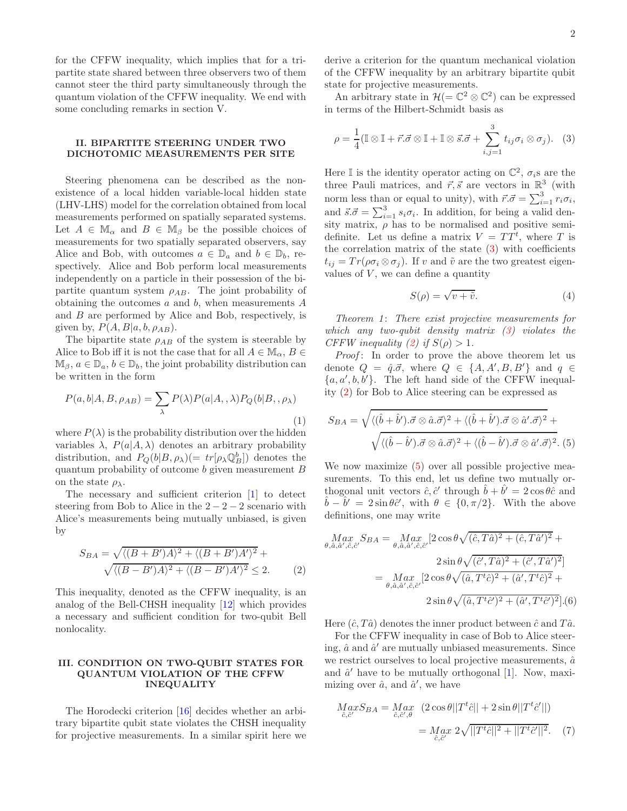for the CFFW inequality, which implies that for a tripartite state shared between three observers two of them cannot steer the third party simultaneously through the quantum violation of the CFFW inequality. We end with some concluding remarks in section V.

## II. BIPARTITE STEERING UNDER TWO DICHOTOMIC MEASUREMENTS PER SITE

Steering phenomena can be described as the nonexistence of a local hidden variable-local hidden state (LHV-LHS) model for the correlation obtained from local measurements performed on spatially separated systems. Let  $A \in M_\alpha$  and  $B \in M_\beta$  be the possible choices of measurements for two spatially separated observers, say Alice and Bob, with outcomes  $a \in \mathbb{D}_a$  and  $b \in \mathbb{D}_b$ , respectively. Alice and Bob perform local measurements independently on a particle in their possession of the bipartite quantum system  $\rho_{AB}$ . The joint probability of obtaining the outcomes  $a$  and  $b$ , when measurements  $A$ and B are performed by Alice and Bob, respectively, is given by,  $P(A, B|a, b, \rho_{AB})$ .

The bipartite state  $\rho_{AB}$  of the system is steerable by Alice to Bob iff it is not the case that for all  $A \in M_\alpha$ ,  $B \in$  $\mathbb{M}_{\beta}, a \in \mathbb{D}_{a}, b \in \mathbb{D}_{b}$ , the joint probability distribution can be written in the form

$$
P(a,b|A,B,\rho_{AB}) = \sum_{\lambda} P(\lambda) P(a|A,\lambda) P_Q(b|B,\rho_{\lambda})
$$
\n(1)

where  $P(\lambda)$  is the probability distribution over the hidden variables  $\lambda$ ,  $P(a|A,\lambda)$  denotes an arbitrary probability distribution, and  $P_Q(b|B,\rho_\lambda)(=tr[\rho_\lambda \mathbb{Q}_B^b])$  denotes the quantum probability of outcome b given measurement B on the state  $\rho_{\lambda}$ .

The necessary and sufficient criterion [\[1](#page-3-4)] to detect steering from Bob to Alice in the  $2 - 2 - 2$  scenario with Alice's measurements being mutually unbiased, is given by

<span id="page-1-1"></span>
$$
S_{BA} = \sqrt{\langle (B+B')A \rangle^2 + \langle (B+B')A' \rangle^2} + \sqrt{\langle (B-B')A \rangle^2 + \langle (B-B')A' \rangle^2} \le 2.
$$
 (2)

This inequality, denoted as the CFFW inequality, is an analog of the Bell-CHSH inequality [\[12](#page-3-15)] which provides a necessary and sufficient condition for two-qubit Bell nonlocality.

### III. CONDITION ON TWO-QUBIT STATES FOR QUANTUM VIOLATION OF THE CFFW INEQUALITY

The Horodecki criterion [\[16\]](#page-3-19) decides whether an arbitrary bipartite qubit state violates the CHSH inequality for projective measurements. In a similar spirit here we derive a criterion for the quantum mechanical violation of the CFFW inequality by an arbitrary bipartite qubit state for projective measurements.

An arbitrary state in  $\mathcal{H} (= \mathbb{C}^2 \otimes \mathbb{C}^2)$  can be expressed in terms of the Hilbert-Schmidt basis as

<span id="page-1-0"></span>
$$
\rho = \frac{1}{4} (\mathbb{I} \otimes \mathbb{I} + \vec{r} \cdot \vec{\sigma} \otimes \mathbb{I} + \mathbb{I} \otimes \vec{s} \cdot \vec{\sigma} + \sum_{i,j=1}^{3} t_{ij} \sigma_i \otimes \sigma_j). \tag{3}
$$

Here I is the identity operator acting on  $\mathbb{C}^2$ ,  $\sigma_i$ s are the three Pauli matrices, and  $\vec{r}, \vec{s}$  are vectors in  $\mathbb{R}^3$  (with norm less than or equal to unity), with  $\vec{r} \cdot \vec{\sigma} = \sum_{i=1}^{3} r_i \sigma_i$ , and  $\vec{s} \cdot \vec{\sigma} = \sum_{i=1}^{3} s_i \sigma_i$ . In addition, for being a valid density matrix,  $\rho$  has to be normalised and positive semidefinite. Let us define a matrix  $V = TT^{t}$ , where T is the correlation matrix of the state  $(3)$  with coefficients  $t_{ij} = Tr(\rho \sigma_i \otimes \sigma_j)$ . If v and  $\tilde{v}$  are the two greatest eigenvalues of  $V$ , we can define a quantity

<span id="page-1-3"></span>
$$
S(\rho) = \sqrt{v + \tilde{v}}.\tag{4}
$$

*Theorem 1*: *There exist projective measurements for which any two-qubit density matrix [\(3\)](#page-1-0) violates the CFFW inequality* [\(2\)](#page-1-1) *if*  $S(\rho) > 1$ *.* 

*Proof*: In order to prove the above theorem let us denote  $Q = \hat{q} \cdot \vec{\sigma}$ , where  $Q \in \{A, A', B, B'\}$  and  $q \in \{A, A', B, B'\}$  $\{a,a',b,b'\}.$  The left hand side of the CFFW inequality [\(2\)](#page-1-1) for Bob to Alice steering can be expressed as

<span id="page-1-2"></span>
$$
S_{BA} = \sqrt{\langle (\hat{b} + \hat{b}'), \vec{\sigma} \otimes \hat{a}.\vec{\sigma} \rangle^2 + \langle (\hat{b} + \hat{b}'), \vec{\sigma} \otimes \hat{a}', \vec{\sigma} \rangle^2 + \sqrt{\langle (\hat{b} - \hat{b}'), \vec{\sigma} \otimes \hat{a}.\vec{\sigma} \rangle^2 + \langle (\hat{b} - \hat{b}'), \vec{\sigma} \otimes \hat{a}', \vec{\sigma} \rangle^2}.
$$
 (5)

We now maximize [\(5\)](#page-1-2) over all possible projective measurements. To this end, let us define two mutually orthogonal unit vectors  $\hat{c}, \hat{c}'$  through  $\hat{b} + \hat{b'} = 2 \cos \theta \hat{c}$  and  $\hat{b} - \hat{b}' = 2 \sin \theta \hat{c}'$ , with  $\theta \in \{0, \pi/2\}$ . With the above definitions, one may write

$$
Max_{\theta,\hat{a},\hat{a}',\hat{c},\hat{c}'} S_{BA} = Max_{\theta,\hat{a},\hat{a}',\hat{c},\hat{c}'} [2 \cos \theta \sqrt{(\hat{c},T\hat{a})^2 + (\hat{c},T\hat{a}')^2} +
$$
  

$$
2 \sin \theta \sqrt{(\hat{c}',T\hat{a})^2 + (\hat{c}',T\hat{a}')^2}]
$$
  

$$
= Max_{\theta,\hat{a},\hat{a}',\hat{c},\hat{c}'} [2 \cos \theta \sqrt{(\hat{a},T^t\hat{c})^2 + (\hat{a}',T^t\hat{c})^2} +
$$
  

$$
2 \sin \theta \sqrt{(\hat{a},T^t\hat{c}')^2 + (\hat{a}',T^t\hat{c}')^2}].(6)
$$

Here  $(\hat{c}, T\hat{a})$  denotes the inner product between  $\hat{c}$  and  $T\hat{a}$ .

For the CFFW inequality in case of Bob to Alice steering,  $\hat{a}$  and  $\hat{a}'$  are mutually unbiased measurements. Since we restrict ourselves to local projective measurements,  $\hat{a}$ and  $\hat{a}'$  have to be mutually orthogonal [\[1\]](#page-3-4). Now, maximizing over  $\hat{a}$ , and  $\hat{a}'$ , we have

$$
MaxS_{BA} = Max_{\hat{c},\hat{c}',\theta} (2\cos\theta||T^t\hat{c}|| + 2\sin\theta||T^t\hat{c}'||)
$$
  
= 
$$
Max_{\hat{c},\hat{c}'} 2\sqrt{||T^t\hat{c}||^2 + ||T^t\hat{c}'||^2}.
$$
 (7)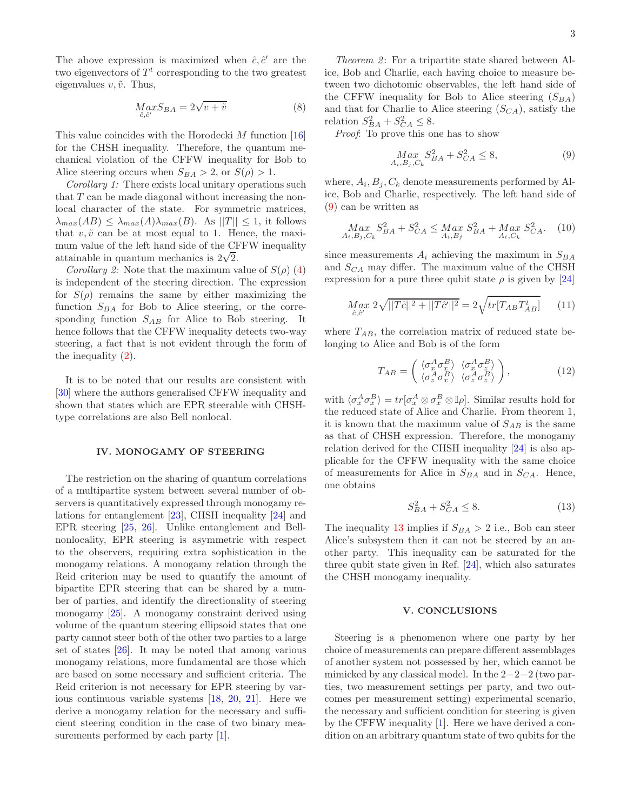The above expression is maximized when  $\hat{c}, \hat{c}'$  are the two eigenvectors of  $T<sup>t</sup>$  corresponding to the two greatest eigenvalues  $v, \tilde{v}$ . Thus,

$$
Max_{\hat{c},\hat{c}'} BA = 2\sqrt{v + \tilde{v}}
$$
\n(8)

This value coincides with the Horodecki  $M$  function [\[16](#page-3-19)] for the CHSH inequality. Therefore, the quantum mechanical violation of the CFFW inequality for Bob to Alice steering occurs when  $S_{BA} > 2$ , or  $S(\rho) > 1$ .

*Corollary 1:* There exists local unitary operations such that  $T$  can be made diagonal without increasing the nonlocal character of the state. For symmetric matrices,  $\lambda_{max}(AB) \leq \lambda_{max}(A)\lambda_{max}(B)$ . As  $||T|| \leq 1$ , it follows that  $v, \tilde{v}$  can be at most equal to 1. Hence, the maximum value of the left hand side of the CFFW inequality attainable in quantum mechanics is  $2\sqrt{2}$ .

*Corollary 2:* Note that the maximum value of  $S(\rho)$  [\(4\)](#page-1-3) is independent of the steering direction. The expression for  $S(\rho)$  remains the same by either maximizing the function  $S_{BA}$  for Bob to Alice steering, or the corresponding function  $S_{AB}$  for Alice to Bob steering. It hence follows that the CFFW inequality detects two-way steering, a fact that is not evident through the form of the inequality [\(2\)](#page-1-1).

It is to be noted that our results are consistent with [\[30\]](#page-3-29) where the authors generalised CFFW inequality and shown that states which are EPR steerable with CHSHtype correlations are also Bell nonlocal.

## IV. MONOGAMY OF STEERING

The restriction on the sharing of quantum correlations of a multipartite system between several number of observers is quantitatively expressed through monogamy relations for entanglement [\[23\]](#page-3-22), CHSH inequality [\[24\]](#page-3-23) and EPR steering [\[25,](#page-3-24) [26](#page-3-25)]. Unlike entanglement and Bellnonlocality, EPR steering is asymmetric with respect to the observers, requiring extra sophistication in the monogamy relations. A monogamy relation through the Reid criterion may be used to quantify the amount of bipartite EPR steering that can be shared by a number of parties, and identify the directionality of steering monogamy [\[25\]](#page-3-24). A monogamy constraint derived using volume of the quantum steering ellipsoid states that one party cannot steer both of the other two parties to a large set of states [\[26](#page-3-25)]. It may be noted that among various monogamy relations, more fundamental are those which are based on some necessary and sufficient criteria. The Reid criterion is not necessary for EPR steering by various continuous variable systems [\[18,](#page-3-30) [20,](#page-3-31) [21\]](#page-3-32). Here we derive a monogamy relation for the necessary and sufficient steering condition in the case of two binary mea-surements performed by each party [\[1](#page-3-4)].

*Theorem 2*: For a tripartite state shared between Alice, Bob and Charlie, each having choice to measure between two dichotomic observables, the left hand side of the CFFW inequality for Bob to Alice steering  $(S_{BA})$ and that for Charlie to Alice steering  $(S_{CA})$ , satisfy the relation  $S_{BA}^2 + S_{CA}^2 \leq 8$ .

*Proof*: To prove this one has to show

<span id="page-2-0"></span>
$$
\underset{A_i, B_j, C_k}{Max} S_{BA}^2 + S_{CA}^2 \le 8,\tag{9}
$$

where,  $A_i, B_j, C_k$  denote measurements performed by Alice, Bob and Charlie, respectively. The left hand side of [\(9\)](#page-2-0) can be written as

$$
\underset{A_i, B_j, C_k}{Max} S_{BA}^2 + S_{CA}^2 \leq \underset{A_i, B_j}{Max} S_{BA}^2 + \underset{A_i, C_k}{Max} S_{CA}^2. \tag{10}
$$

since measurements  $A_i$  achieving the maximum in  $S_{BA}$ and  $S_{CA}$  may differ. The maximum value of the CHSH expression for a pure three qubit state  $\rho$  is given by [\[24\]](#page-3-23)

$$
\underset{\hat{c},\hat{c}'}{Max} 2\sqrt{||T\hat{c}||^2 + ||T\hat{c}'||^2} = 2\sqrt{tr[T_{AB}T_{AB}^t]} \qquad (11)
$$

where  $T_{AB}$ , the correlation matrix of reduced state belonging to Alice and Bob is of the form

$$
T_{AB} = \begin{pmatrix} \langle \sigma_x^A \sigma_x^B \rangle & \langle \sigma_x^A \sigma_z^B \rangle \\ \langle \sigma_x^A \sigma_x^B \rangle & \langle \sigma_x^A \sigma_z^B \rangle \end{pmatrix},
$$
(12)

with  $\langle \sigma_x^A \sigma_x^B \rangle = tr[\sigma_x^A \otimes \sigma_x^B \otimes \mathbb{I} \rho]$ . Similar results hold for the reduced state of Alice and Charlie. From theorem 1, it is known that the maximum value of  $S_{AB}$  is the same as that of CHSH expression. Therefore, the monogamy relation derived for the CHSH inequality [\[24\]](#page-3-23) is also applicable for the CFFW inequality with the same choice of measurements for Alice in  $S_{BA}$  and in  $S_{CA}$ . Hence, one obtains

<span id="page-2-1"></span>
$$
S_{BA}^2 + S_{CA}^2 \le 8. \tag{13}
$$

The inequality [13](#page-2-1) implies if  $S_{BA} > 2$  i.e., Bob can steer Alice's subsystem then it can not be steered by an another party. This inequality can be saturated for the three qubit state given in Ref. [\[24](#page-3-23)], which also saturates the CHSH monogamy inequality.

#### V. CONCLUSIONS

Steering is a phenomenon where one party by her choice of measurements can prepare different assemblages of another system not possessed by her, which cannot be mimicked by any classical model. In the 2−2−2 (two parties, two measurement settings per party, and two outcomes per measurement setting) experimental scenario, the necessary and sufficient condition for steering is given by the CFFW inequality [\[1](#page-3-4)]. Here we have derived a condition on an arbitrary quantum state of two qubits for the